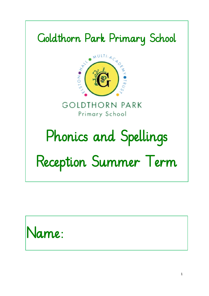#### Goldthorn Park Primary School



**GOLDTHORN PARK** Primary School

# Phonics and Spellings

## Reception Summer Term

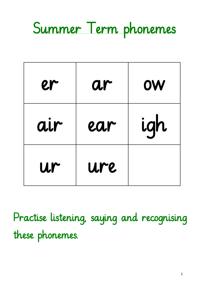

| er  | ar  | <b>OW</b> |
|-----|-----|-----------|
| air | ear | igh       |
| ur  | ure |           |

Practise listening, saying and recognising these phonemes.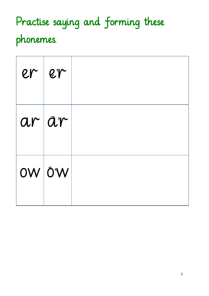## Practise saying and forming these phonemes.

| $er$  er      |  |
|---------------|--|
| $ar\vert$ år  |  |
| <b>OW</b> Ö'W |  |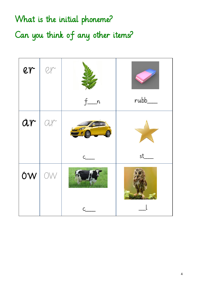### What is the initial phoneme? Can you think of any other items?

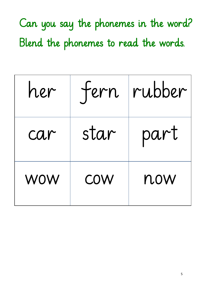Can you say the phonemes in the word? Blend the phonemes to read the words.

| her        | tern       | rubber |
|------------|------------|--------|
| car        | star       | part   |
| <b>WOW</b> | <b>COW</b> | now    |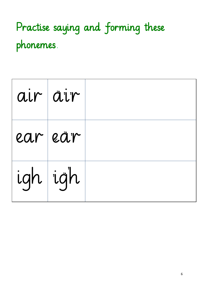Practise saying and forming these phonemes.

| air air  |  |
|----------|--|
| earlear  |  |
| igh tigh |  |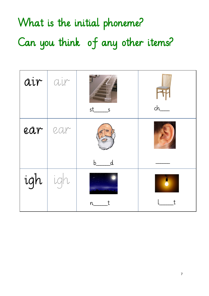## What is the initial phoneme? Can you think of any other items?

| air | air        | st_<br>S                                 | $ch$ __ |
|-----|------------|------------------------------------------|---------|
| ear | <b>car</b> | $\overline{\mathcal{d}}$<br>$\mathsf{b}$ |         |
| igh |            | $n_{-}$                                  |         |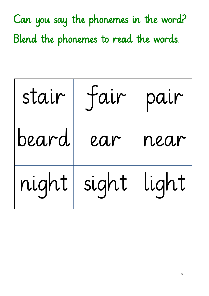Can you say the phonemes in the word? Blend the phonemes to read the words.

| stair | fair          | pair |
|-------|---------------|------|
| beard | ear           | near |
| night | sight   light |      |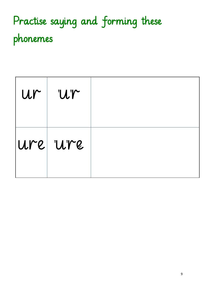## Practise saying and forming these phonemes

| $ur$ $ur$ |  |
|-----------|--|
| Ure ure   |  |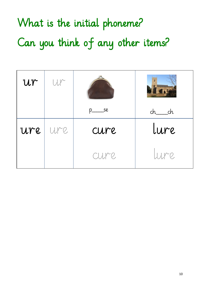## What is the initial phoneme? Can you think of any other items?

| Ur  | <b>ULLE</b>  |                          |                                   |
|-----|--------------|--------------------------|-----------------------------------|
|     |              |                          | $\overline{\phantom{a}}$ ch<br>ch |
| Ure | <b>ULLER</b> | cure                     | lure                              |
|     |              | <b>CULM</b> <sup>2</sup> | <b>Lune</b>                       |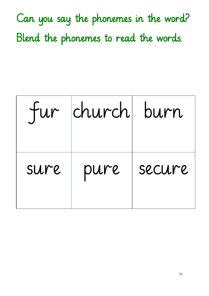Can you say the phonemes in the word? Blend the phonemes to read the words.

|      | fur church burn |        |
|------|-----------------|--------|
| sure | pure            | secure |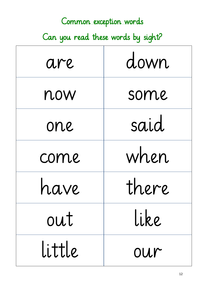| Common exception words             |       |  |
|------------------------------------|-------|--|
| Can you read these words by sight? |       |  |
| are                                | down  |  |
| now                                | some  |  |
| one                                | said  |  |
| come                               | when  |  |
| have                               | there |  |
| out                                | like  |  |
| little                             | our   |  |